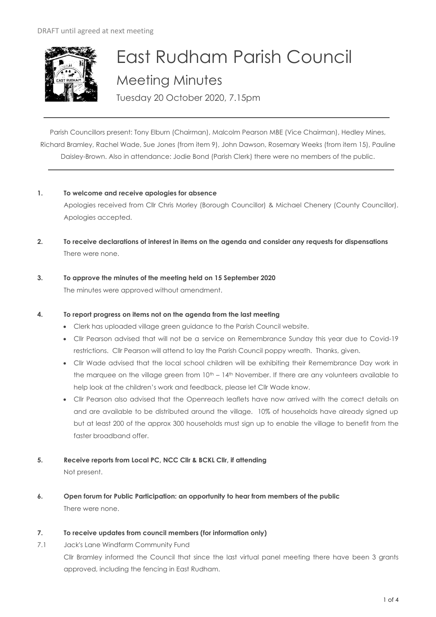

# East Rudham Parish Council Meeting Minutes Tuesday 20 October 2020, 7.15pm

Parish Councillors present: Tony Elburn (Chairman), Malcolm Pearson MBE (Vice Chairman), Hedley Mines, Richard Bramley, Rachel Wade, Sue Jones (from item 9), John Dawson, Rosemary Weeks (from item 15), Pauline Daisley-Brown. Also in attendance: Jodie Bond (Parish Clerk) there were no members of the public.

#### **1. To welcome and receive apologies for absence**

Apologies received from Cllr Chris Morley (Borough Councillor) & Michael Chenery (County Councillor). Apologies accepted.

- **2. To receive declarations of interest in items on the agenda and consider any requests for dispensations**  There were none.
- **3. To approve the minutes of the meeting held on 15 September 2020**  The minutes were approved without amendment.

## **4. To report progress on items not on the agenda from the last meeting**

- Clerk has uploaded village green guidance to the Parish Council website.
- Cllr Pearson advised that will not be a service on Remembrance Sunday this year due to Covid-19 restrictions. Cllr Pearson will attend to lay the Parish Council poppy wreath. Thanks, given.
- Cllr Wade advised that the local school children will be exhibiting their Remembrance Day work in the marquee on the village green from  $10<sup>th</sup> - 14<sup>th</sup>$  November. If there are any volunteers available to help look at the children's work and feedback, please let Cllr Wade know.
- Cllr Pearson also advised that the Openreach leaflets have now arrived with the correct details on and are available to be distributed around the village. 10% of households have already signed up but at least 200 of the approx 300 households must sign up to enable the village to benefit from the faster broadband offer.

# **5. Receive reports from Local PC, NCC Cllr & BCKL Cllr, if attending**

Not present.

**6. Open forum for Public Participation: an opportunity to hear from members of the public** There were none.

## **7. To receive updates from council members (for information only)**

7.1 Jack's Lane Windfarm Community Fund

Cllr Bramley informed the Council that since the last virtual panel meeting there have been 3 grants approved, including the fencing in East Rudham.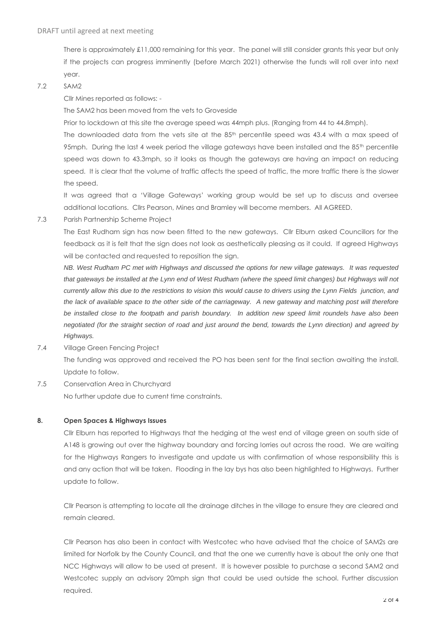There is approximately £11,000 remaining for this year. The panel will still consider grants this year but only if the projects can progress imminently (before March 2021) otherwise the funds will roll over into next year.

7.2 SAM2

Cllr Mines reported as follows: -

The SAM2 has been moved from the vets to Groveside

Prior to lockdown at this site the average speed was 44mph plus. (Ranging from 44 to 44.8mph).

The downloaded data from the vets site at the 85<sup>th</sup> percentile speed was 43.4 with a max speed of 95mph. During the last 4 week period the village gateways have been installed and the 85<sup>th</sup> percentile speed was down to 43.3mph, so it looks as though the gateways are having an impact on reducing speed. It is clear that the volume of traffic affects the speed of traffic, the more traffic there is the slower the speed.

It was agreed that a 'Village Gateways' working group would be set up to discuss and oversee additional locations. Cllrs Pearson, Mines and Bramley will become members. All AGREED.

7.3 Parish Partnership Scheme Project

The East Rudham sign has now been fitted to the new gateways. Cllr Elburn asked Councillors for the feedback as it is felt that the sign does not look as aesthetically pleasing as it could. If agreed Highways will be contacted and requested to reposition the sign.

*NB. West Rudham PC met with Highways and discussed the options for new village gateways. It was requested that gateways be installed at the Lynn end of West Rudham (where the speed limit changes) but Highways will not currently allow this due to the restrictions to vision this would cause to drivers using the Lynn Fields junction, and the lack of available space to the other side of the carriageway. A new gateway and matching post will therefore be installed close to the footpath and parish boundary. In addition new speed limit roundels have also been negotiated (for the straight section of road and just around the bend, towards the Lynn direction) and agreed by Highways.*

- 7.4 Village Green Fencing Project The funding was approved and received the PO has been sent for the final section awaiting the install. Update to follow.
- 7.5 Conservation Area in Churchyard

No further update due to current time constraints.

#### **8. Open Spaces & Highways Issues**

Cllr Elburn has reported to Highways that the hedging at the west end of village green on south side of A148 is growing out over the highway boundary and forcing lorries out across the road. We are waiting for the Highways Rangers to investigate and update us with confirmation of whose responsibility this is and any action that will be taken. Flooding in the lay bys has also been highlighted to Highways. Further update to follow.

Cllr Pearson is attempting to locate all the drainage ditches in the village to ensure they are cleared and remain cleared.

Cllr Pearson has also been in contact with Westcotec who have advised that the choice of SAM2s are limited for Norfolk by the County Council, and that the one we currently have is about the only one that NCC Highways will allow to be used at present. It is however possible to purchase a second SAM2 and Westcotec supply an advisory 20mph sign that could be used outside the school. Further discussion required.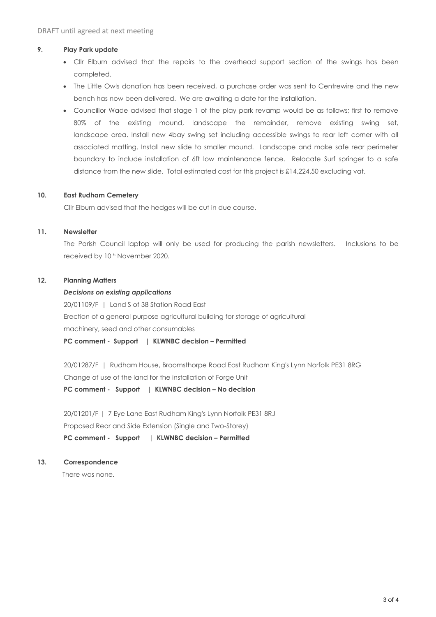#### **9. Play Park update**

- Cllr Elburn advised that the repairs to the overhead support section of the swings has been completed.
- The Little Owls donation has been received, a purchase order was sent to Centrewire and the new bench has now been delivered. We are awaiting a date for the installation.
- Councillor Wade advised that stage 1 of the play park revamp would be as follows; first to remove 80% of the existing mound, landscape the remainder, remove existing swing set, landscape area. Install new 4bay swing set including accessible swings to rear left corner with all associated matting. Install new slide to smaller mound. Landscape and make safe rear perimeter boundary to include installation of 6ft low maintenance fence. Relocate Surf springer to a safe distance from the new slide. Total estimated cost for this project is £14,224.50 excluding vat.

#### **10. East Rudham Cemetery**

Cllr Elburn advised that the hedges will be cut in due course.

#### **11. Newsletter**

The Parish Council laptop will only be used for producing the parish newsletters. Inclusions to be received by 10<sup>th</sup> November 2020.

#### **12. Planning Matters**

#### *Decisions on existing applications*

20/01109/F | Land S of 38 Station Road East Erection of a general purpose agricultural building for storage of agricultural machinery, seed and other consumables

**PC comment - Support | KLWNBC decision – Permitted**

20/01287/F | Rudham House, Broomsthorpe Road East Rudham King's Lynn Norfolk PE31 8RG Change of use of the land for the installation of Forge Unit **PC comment - Support | KLWNBC decision – No decision**

20/01201/F | 7 Eye Lane East Rudham King's Lynn Norfolk PE31 8RJ Proposed Rear and Side Extension (Single and Two-Storey) **PC comment - Support | KLWNBC decision – Permitted**

# **13. Correspondence**

There was none.